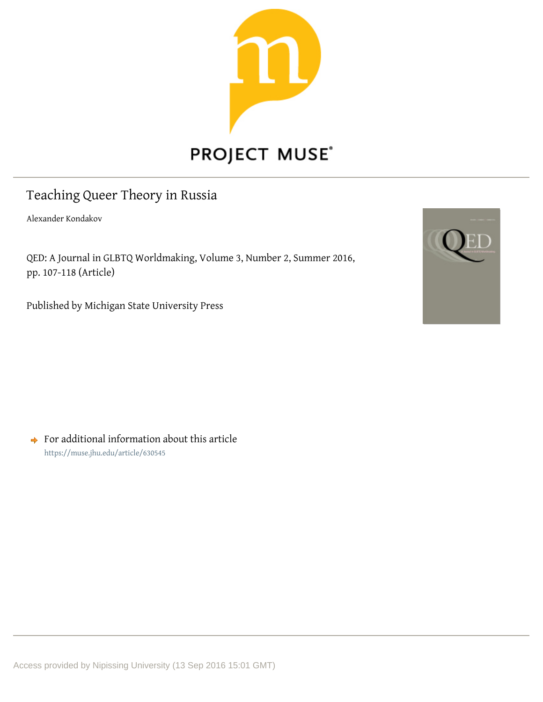

# PROJECT MUSE®

## Teaching Queer Theory in Russia

Alexander Kondakov

QED: A Journal in GLBTQ Worldmaking, Volume 3, Number 2, Summer 2016, pp. 107-118 (Article)

Published by Michigan State University Press



 $\rightarrow$  For additional information about this article https://muse.jhu.edu/article/630545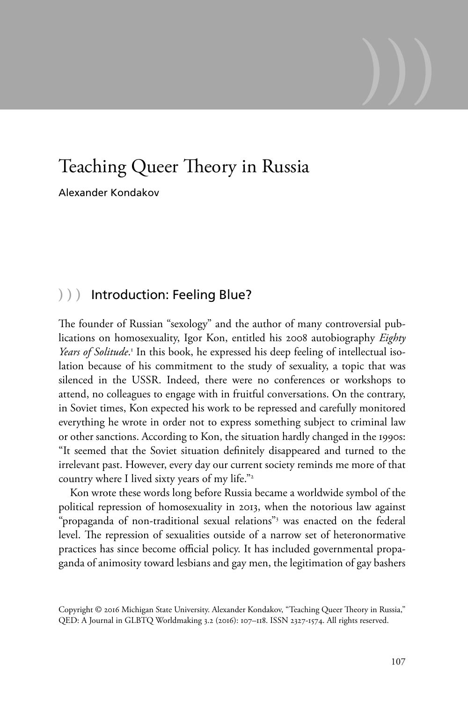## Teaching Queer Theory in Russia

Alexander Kondakov

### **)))** Introduction: Feeling Blue?

The founder of Russian "sexology" and the author of many controversial publications on homosexuality, Igor Kon, entitled his 2008 autobiography *Eighty*  Years of Solitude.<sup>1</sup> In this book, he expressed his deep feeling of intellectual isolation because of his commitment to the study of sexuality, a topic that was silenced in the USSR. Indeed, there were no conferences or workshops to attend, no colleagues to engage with in fruitful conversations. On the contrary, in Soviet times, Kon expected his work to be repressed and carefully monitored everything he wrote in order not to express something subject to criminal law or other sanctions. According to Kon, the situation hardly changed in the 1990s: "It seemed that the Soviet situation definitely disappeared and turned to the irrelevant past. However, every day our current society reminds me more of that country where I lived sixty years of my life."2

Kon wrote these words long before Russia became a worldwide symbol of the political repression of homosexuality in 2013, when the notorious law against "propaganda of non-traditional sexual relations"<sup>3</sup> was enacted on the federal level. The repression of sexualities outside of a narrow set of heteronormative practices has since become official policy. It has included governmental propaganda of animosity toward lesbians and gay men, the legitimation of gay bashers

**)))**

Copyright © 2016 Michigan State University. Alexander Kondakov, "Teaching Queer Theory in Russia," QED: A Journal in GLBTQ Worldmaking 3.2 (2016): 107–118. ISSN 2327-1574. All rights reserved.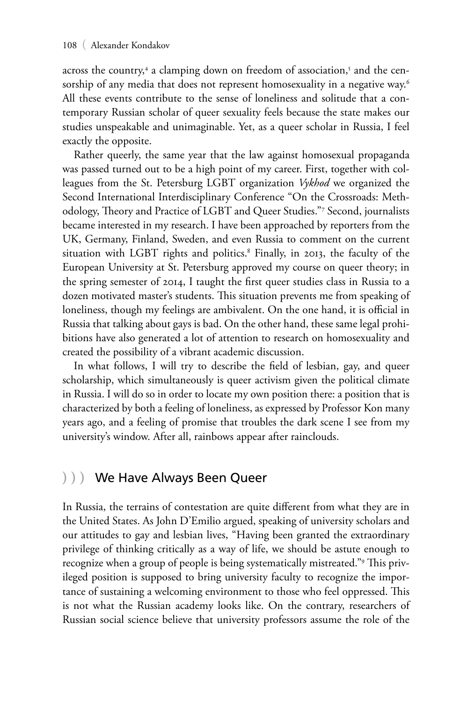across the country,<sup>4</sup> a clamping down on freedom of association,<sup>5</sup> and the censorship of any media that does not represent homosexuality in a negative way.<sup>6</sup> All these events contribute to the sense of loneliness and solitude that a contemporary Russian scholar of queer sexuality feels because the state makes our studies unspeakable and unimaginable. Yet, as a queer scholar in Russia, I feel exactly the opposite.

Rather queerly, the same year that the law against homosexual propaganda was passed turned out to be a high point of my career. First, together with colleagues from the St. Petersburg LGBT organization *Vykhod* we organized the Second International Interdisciplinary Conference "On the Crossroads: Methodology, Theory and Practice of LGBT and Queer Studies."7 Second, journalists became interested in my research. I have been approached by reporters from the UK, Germany, Finland, Sweden, and even Russia to comment on the current situation with LGBT rights and politics.8 Finally, in 2013, the faculty of the European University at St. Petersburg approved my course on queer theory; in the spring semester of 2014, I taught the first queer studies class in Russia to a dozen motivated master's students. This situation prevents me from speaking of loneliness, though my feelings are ambivalent. On the one hand, it is official in Russia that talking about gays is bad. On the other hand, these same legal prohibitions have also generated a lot of attention to research on homosexuality and created the possibility of a vibrant academic discussion.

In what follows, I will try to describe the field of lesbian, gay, and queer scholarship, which simultaneously is queer activism given the political climate in Russia. I will do so in order to locate my own position there: a position that is characterized by both a feeling of loneliness, as expressed by Professor Kon many years ago, and a feeling of promise that troubles the dark scene I see from my university's window. After all, rainbows appear after rainclouds.

#### **)))** We Have Always Been Queer

In Russia, the terrains of contestation are quite different from what they are in the United States. As John D'Emilio argued, speaking of university scholars and our attitudes to gay and lesbian lives, "Having been granted the extraordinary privilege of thinking critically as a way of life, we should be astute enough to recognize when a group of people is being systematically mistreated."<sup>9</sup> This privileged position is supposed to bring university faculty to recognize the importance of sustaining a welcoming environment to those who feel oppressed. This is not what the Russian academy looks like. On the contrary, researchers of Russian social science believe that university professors assume the role of the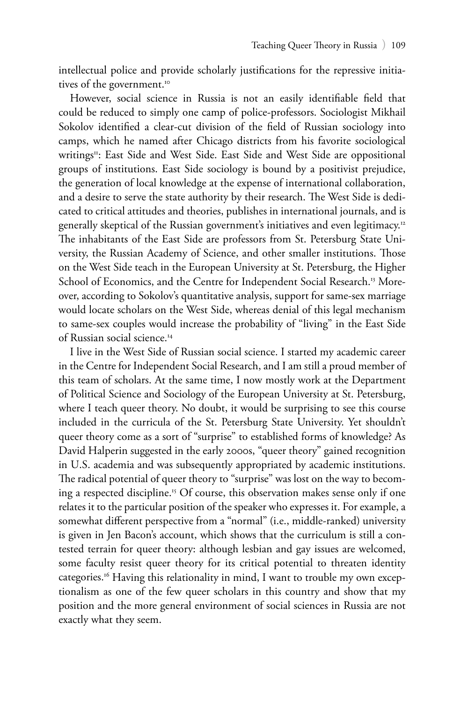intellectual police and provide scholarly justifications for the repressive initiatives of the government.<sup>10</sup>

However, social science in Russia is not an easily identifiable field that could be reduced to simply one camp of police-professors. Sociologist Mikhail Sokolov identified a clear-cut division of the field of Russian sociology into camps, which he named after Chicago districts from his favorite sociological writings<sup>11</sup>: East Side and West Side. East Side and West Side are oppositional groups of institutions. East Side sociology is bound by a positivist prejudice, the generation of local knowledge at the expense of international collaboration, and a desire to serve the state authority by their research. The West Side is dedicated to critical attitudes and theories, publishes in international journals, and is generally skeptical of the Russian government's initiatives and even legitimacy.12 The inhabitants of the East Side are professors from St. Petersburg State University, the Russian Academy of Science, and other smaller institutions. Those on the West Side teach in the European University at St. Petersburg, the Higher School of Economics, and the Centre for Independent Social Research.<sup>13</sup> Moreover, according to Sokolov's quantitative analysis, support for same-sex marriage would locate scholars on the West Side, whereas denial of this legal mechanism to same-sex couples would increase the probability of "living" in the East Side of Russian social science.14

I live in the West Side of Russian social science. I started my academic career in the Centre for Independent Social Research, and I am still a proud member of this team of scholars. At the same time, I now mostly work at the Department of Political Science and Sociology of the European University at St. Petersburg, where I teach queer theory. No doubt, it would be surprising to see this course included in the curricula of the St. Petersburg State University. Yet shouldn't queer theory come as a sort of "surprise" to established forms of knowledge? As David Halperin suggested in the early 2000s, "queer theory" gained recognition in U.S. academia and was subsequently appropriated by academic institutions. The radical potential of queer theory to "surprise" was lost on the way to becoming a respected discipline.<sup>15</sup> Of course, this observation makes sense only if one relates it to the particular position of the speaker who expresses it. For example, a somewhat different perspective from a "normal" (i.e., middle-ranked) university is given in Jen Bacon's account, which shows that the curriculum is still a contested terrain for queer theory: although lesbian and gay issues are welcomed, some faculty resist queer theory for its critical potential to threaten identity categories.<sup>16</sup> Having this relationality in mind, I want to trouble my own exceptionalism as one of the few queer scholars in this country and show that my position and the more general environment of social sciences in Russia are not exactly what they seem.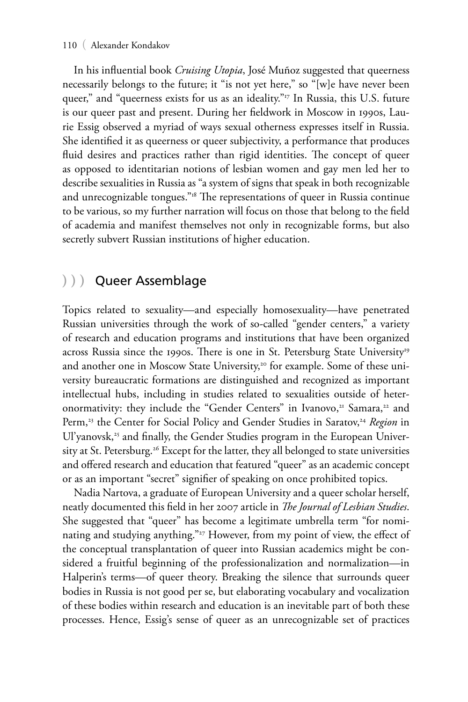#### 110 ( Alexander Kondakov

In his influential book *Cruising Utopia*, José Muñoz suggested that queerness necessarily belongs to the future; it "is not yet here," so "[w]e have never been queer," and "queerness exists for us as an ideality."<sup>17</sup> In Russia, this U.S. future is our queer past and present. During her fieldwork in Moscow in 1990s, Laurie Essig observed a myriad of ways sexual otherness expresses itself in Russia. She identified it as queerness or queer subjectivity, a performance that produces fluid desires and practices rather than rigid identities. The concept of queer as opposed to identitarian notions of lesbian women and gay men led her to describe sexualities in Russia as "a system of signs that speak in both recognizable and unrecognizable tongues."<sup>18</sup> The representations of queer in Russia continue to be various, so my further narration will focus on those that belong to the field of academia and manifest themselves not only in recognizable forms, but also secretly subvert Russian institutions of higher education.

### **)))** Queer Assemblage

Topics related to sexuality—and especially homosexuality—have penetrated Russian universities through the work of so-called "gender centers," a variety of research and education programs and institutions that have been organized across Russia since the 1990s. There is one in St. Petersburg State University<sup>19</sup> and another one in Moscow State University,<sup>20</sup> for example. Some of these university bureaucratic formations are distinguished and recognized as important intellectual hubs, including in studies related to sexualities outside of heteronormativity: they include the "Gender Centers" in Ivanovo,<sup>21</sup> Samara,<sup>22</sup> and Perm,<sup>23</sup> the Center for Social Policy and Gender Studies in Saratov,<sup>24</sup> Region in Ul'yanovsk,<sup>25</sup> and finally, the Gender Studies program in the European University at St. Petersburg.<sup>26</sup> Except for the latter, they all belonged to state universities and offered research and education that featured "queer" as an academic concept or as an important "secret" signifier of speaking on once prohibited topics.

Nadia Nartova, a graduate of European University and a queer scholar herself, neatly documented this field in her 2007 article in *The Journal of Lesbian Studies*. She suggested that "queer" has become a legitimate umbrella term "for nominating and studying anything."<sup>27</sup> However, from my point of view, the effect of the conceptual transplantation of queer into Russian academics might be considered a fruitful beginning of the professionalization and normalization—in Halperin's terms—of queer theory. Breaking the silence that surrounds queer bodies in Russia is not good per se, but elaborating vocabulary and vocalization of these bodies within research and education is an inevitable part of both these processes. Hence, Essig's sense of queer as an unrecognizable set of practices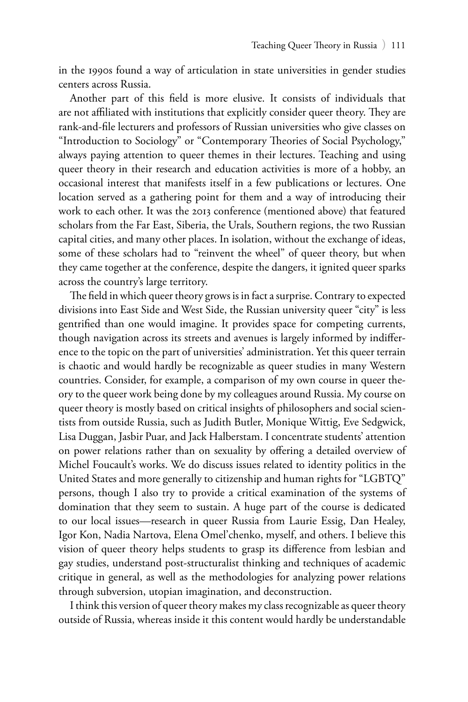in the 1990s found a way of articulation in state universities in gender studies centers across Russia.

Another part of this field is more elusive. It consists of individuals that are not affiliated with institutions that explicitly consider queer theory. They are rank-and-file lecturers and professors of Russian universities who give classes on "Introduction to Sociology" or "Contemporary Theories of Social Psychology," always paying attention to queer themes in their lectures. Teaching and using queer theory in their research and education activities is more of a hobby, an occasional interest that manifests itself in a few publications or lectures. One location served as a gathering point for them and a way of introducing their work to each other. It was the 2013 conference (mentioned above) that featured scholars from the Far East, Siberia, the Urals, Southern regions, the two Russian capital cities, and many other places. In isolation, without the exchange of ideas, some of these scholars had to "reinvent the wheel" of queer theory, but when they came together at the conference, despite the dangers, it ignited queer sparks across the country's large territory.

The field in which queer theory grows is in fact a surprise. Contrary to expected divisions into East Side and West Side, the Russian university queer "city" is less gentrified than one would imagine. It provides space for competing currents, though navigation across its streets and avenues is largely informed by indifference to the topic on the part of universities' administration. Yet this queer terrain is chaotic and would hardly be recognizable as queer studies in many Western countries. Consider, for example, a comparison of my own course in queer theory to the queer work being done by my colleagues around Russia. My course on queer theory is mostly based on critical insights of philosophers and social scientists from outside Russia, such as Judith Butler, Monique Wittig, Eve Sedgwick, Lisa Duggan, Jasbir Puar, and Jack Halberstam. I concentrate students' attention on power relations rather than on sexuality by offering a detailed overview of Michel Foucault's works. We do discuss issues related to identity politics in the United States and more generally to citizenship and human rights for "LGBTQ" persons, though I also try to provide a critical examination of the systems of domination that they seem to sustain. A huge part of the course is dedicated to our local issues—research in queer Russia from Laurie Essig, Dan Healey, Igor Kon, Nadia Nartova, Elena Omel'chenko, myself, and others. I believe this vision of queer theory helps students to grasp its difference from lesbian and gay studies, understand post-structuralist thinking and techniques of academic critique in general, as well as the methodologies for analyzing power relations through subversion, utopian imagination, and deconstruction.

I think this version of queer theory makes my class recognizable as queer theory outside of Russia, whereas inside it this content would hardly be understandable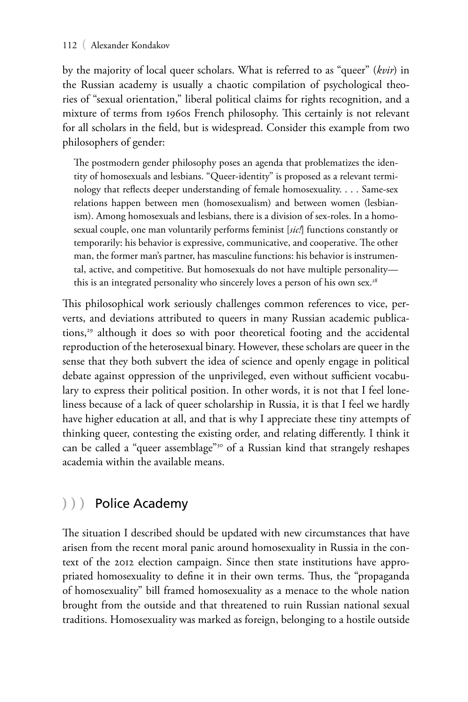#### 112 ( Alexander Kondakov

by the majority of local queer scholars. What is referred to as "queer" (*kvir*) in the Russian academy is usually a chaotic compilation of psychological theories of "sexual orientation," liberal political claims for rights recognition, and a mixture of terms from 1960s French philosophy. This certainly is not relevant for all scholars in the field, but is widespread. Consider this example from two philosophers of gender:

The postmodern gender philosophy poses an agenda that problematizes the identity of homosexuals and lesbians. "Queer-identity" is proposed as a relevant terminology that reflects deeper understanding of female homosexuality. . . . Same-sex relations happen between men (homosexualism) and between women (lesbianism). Among homosexuals and lesbians, there is a division of sex-roles. In a homosexual couple, one man voluntarily performs feminist [*sic!*] functions constantly or temporarily: his behavior is expressive, communicative, and cooperative. The other man, the former man's partner, has masculine functions: his behavior is instrumental, active, and competitive. But homosexuals do not have multiple personality this is an integrated personality who sincerely loves a person of his own sex.<sup>28</sup>

This philosophical work seriously challenges common references to vice, perverts, and deviations attributed to queers in many Russian academic publications,<sup>29</sup> although it does so with poor theoretical footing and the accidental reproduction of the heterosexual binary. However, these scholars are queer in the sense that they both subvert the idea of science and openly engage in political debate against oppression of the unprivileged, even without sufficient vocabulary to express their political position. In other words, it is not that I feel loneliness because of a lack of queer scholarship in Russia, it is that I feel we hardly have higher education at all, and that is why I appreciate these tiny attempts of thinking queer, contesting the existing order, and relating differently. I think it can be called a "queer assemblage"<sup>30</sup> of a Russian kind that strangely reshapes academia within the available means.

## **)))** Police Academy

The situation I described should be updated with new circumstances that have arisen from the recent moral panic around homosexuality in Russia in the context of the 2012 election campaign. Since then state institutions have appropriated homosexuality to define it in their own terms. Thus, the "propaganda of homosexuality" bill framed homosexuality as a menace to the whole nation brought from the outside and that threatened to ruin Russian national sexual traditions. Homosexuality was marked as foreign, belonging to a hostile outside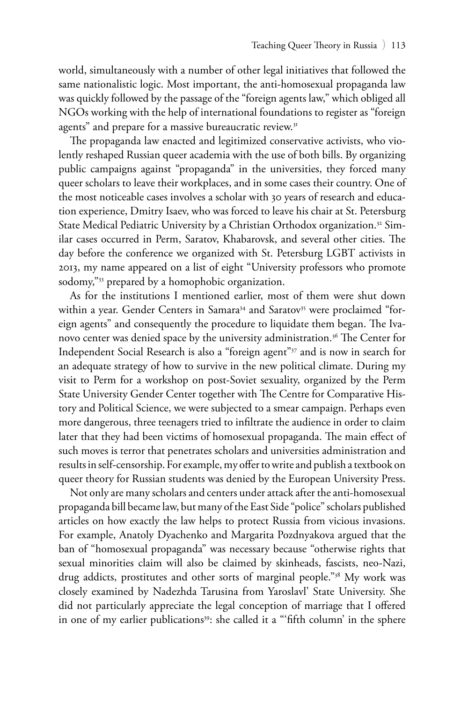world, simultaneously with a number of other legal initiatives that followed the same nationalistic logic. Most important, the anti-homosexual propaganda law was quickly followed by the passage of the "foreign agents law," which obliged all NGOs working with the help of international foundations to register as "foreign agents" and prepare for a massive bureaucratic review.<sup>31</sup>

The propaganda law enacted and legitimized conservative activists, who violently reshaped Russian queer academia with the use of both bills. By organizing public campaigns against "propaganda" in the universities, they forced many queer scholars to leave their workplaces, and in some cases their country. One of the most noticeable cases involves a scholar with 30 years of research and education experience, Dmitry Isaev, who was forced to leave his chair at St. Petersburg State Medical Pediatric University by a Christian Orthodox organization.<sup>32</sup> Similar cases occurred in Perm, Saratov, Khabarovsk, and several other cities. The day before the conference we organized with St. Petersburg LGBT activists in 2013, my name appeared on a list of eight "University professors who promote sodomy,"<sup>33</sup> prepared by a homophobic organization.

As for the institutions I mentioned earlier, most of them were shut down within a year. Gender Centers in Samara<sup>34</sup> and Saratov<sup>35</sup> were proclaimed "foreign agents" and consequently the procedure to liquidate them began. The Ivanovo center was denied space by the university administration.<sup>36</sup> The Center for Independent Social Research is also a "foreign agent"37 and is now in search for an adequate strategy of how to survive in the new political climate. During my visit to Perm for a workshop on post-Soviet sexuality, organized by the Perm State University Gender Center together with The Centre for Comparative History and Political Science, we were subjected to a smear campaign. Perhaps even more dangerous, three teenagers tried to infiltrate the audience in order to claim later that they had been victims of homosexual propaganda. The main effect of such moves is terror that penetrates scholars and universities administration and results in self-censorship. For example, my offer to write and publish a textbook on queer theory for Russian students was denied by the European University Press.

Not only are many scholars and centers under attack after the anti-homosexual propaganda bill became law, but many of the East Side "police" scholars published articles on how exactly the law helps to protect Russia from vicious invasions. For example, Anatoly Dyachenko and Margarita Pozdnyakova argued that the ban of "homosexual propaganda" was necessary because "otherwise rights that sexual minorities claim will also be claimed by skinheads, fascists, neo-Nazi, drug addicts, prostitutes and other sorts of marginal people."<sup>38</sup> My work was closely examined by Nadezhda Tarusina from Yaroslavl' State University. She did not particularly appreciate the legal conception of marriage that I offered in one of my earlier publications<sup>39</sup>: she called it a "'fifth column' in the sphere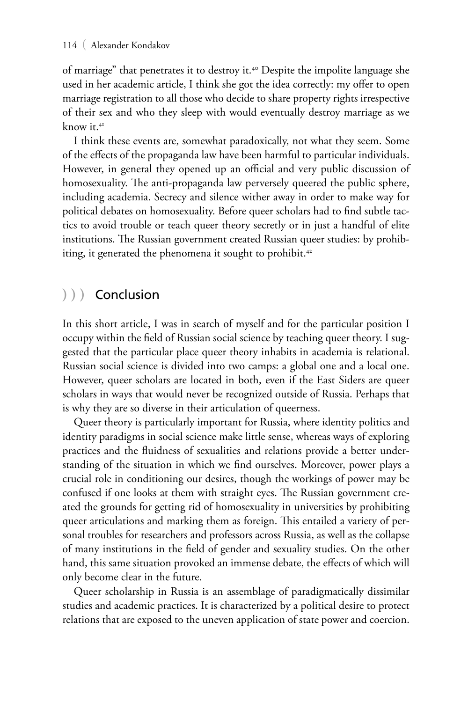of marriage" that penetrates it to destroy it.<sup>40</sup> Despite the impolite language she used in her academic article, I think she got the idea correctly: my offer to open marriage registration to all those who decide to share property rights irrespective of their sex and who they sleep with would eventually destroy marriage as we know it.41

I think these events are, somewhat paradoxically, not what they seem. Some of the effects of the propaganda law have been harmful to particular individuals. However, in general they opened up an official and very public discussion of homosexuality. The anti-propaganda law perversely queered the public sphere, including academia. Secrecy and silence wither away in order to make way for political debates on homosexuality. Before queer scholars had to find subtle tactics to avoid trouble or teach queer theory secretly or in just a handful of elite institutions. The Russian government created Russian queer studies: by prohibiting, it generated the phenomena it sought to prohibit.<sup>42</sup>

## **)))** Conclusion

In this short article, I was in search of myself and for the particular position I occupy within the field of Russian social science by teaching queer theory. I suggested that the particular place queer theory inhabits in academia is relational. Russian social science is divided into two camps: a global one and a local one. However, queer scholars are located in both, even if the East Siders are queer scholars in ways that would never be recognized outside of Russia. Perhaps that is why they are so diverse in their articulation of queerness.

Queer theory is particularly important for Russia, where identity politics and identity paradigms in social science make little sense, whereas ways of exploring practices and the fluidness of sexualities and relations provide a better understanding of the situation in which we find ourselves. Moreover, power plays a crucial role in conditioning our desires, though the workings of power may be confused if one looks at them with straight eyes. The Russian government created the grounds for getting rid of homosexuality in universities by prohibiting queer articulations and marking them as foreign. This entailed a variety of personal troubles for researchers and professors across Russia, as well as the collapse of many institutions in the field of gender and sexuality studies. On the other hand, this same situation provoked an immense debate, the effects of which will only become clear in the future.

Queer scholarship in Russia is an assemblage of paradigmatically dissimilar studies and academic practices. It is characterized by a political desire to protect relations that are exposed to the uneven application of state power and coercion.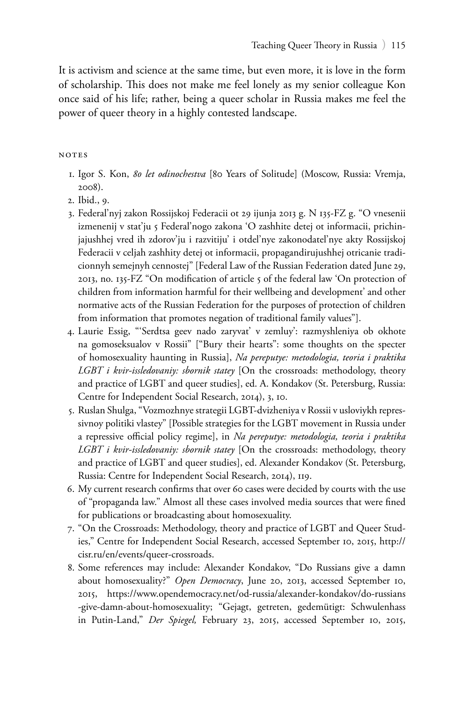It is activism and science at the same time, but even more, it is love in the form of scholarship. This does not make me feel lonely as my senior colleague Kon once said of his life; rather, being a queer scholar in Russia makes me feel the power of queer theory in a highly contested landscape.

#### notes

- 1. Igor S. Kon, *80 let odinochestva* [80 Years of Solitude] (Moscow, Russia: Vremja, 2008).
- 2. Ibid., 9.
- 3. Federal'nyj zakon Rossijskoj Federacii ot 29 ijunja 2013 g. N 135-FZ g. "O vnesenii izmenenij v stat'ju 5 Federal'nogo zakona 'O zashhite detej ot informacii, prichinjajushhej vred ih zdorov'ju i razvitiju' i otdel'nye zakonodatel'nye akty Rossijskoj Federacii v celjah zashhity detej ot informacii, propagandirujushhej otricanie tradicionnyh semejnyh cennostej" [Federal Law of the Russian Federation dated June 29, 2013, no. 135-FZ "On modification of article 5 of the federal law 'On protection of children from information harmful for their wellbeing and development' and other normative acts of the Russian Federation for the purposes of protection of children from information that promotes negation of traditional family values"].
- 4. Laurie Essig, "'Serdtsa geev nado zaryvat' v zemluy': razmyshleniya ob okhote na gomoseksualov v Rossii" ["Bury their hearts": some thoughts on the specter of homosexuality haunting in Russia], *Na pereputye: metodologia, teoria i praktika LGBT i kvir-issledovaniy: sbornik statey* [On the crossroads: methodology, theory and practice of LGBT and queer studies], ed. A. Kondakov (St. Petersburg, Russia: Centre for Independent Social Research, 2014), 3, 10.
- 5. Ruslan Shulga, "Vozmozhnye strategii LGBT-dvizheniya v Rossii v usloviykh repressivnoy politiki vlastey" [Possible strategies for the LGBT movement in Russia under a repressive official policy regime], in *Na pereputye: metodologia, teoria i praktika LGBT i kvir-issledovaniy: sbornik statey* [On the crossroads: methodology, theory and practice of LGBT and queer studies], ed. Alexander Kondakov (St. Petersburg, Russia: Centre for Independent Social Research, 2014), 119.
- 6. My current research confirms that over 60 cases were decided by courts with the use of "propaganda law." Almost all these cases involved media sources that were fined for publications or broadcasting about homosexuality.
- 7. "On the Crossroads: Methodology, theory and practice of LGBT and Queer Studies," Centre for Independent Social Research, accessed September 10, 2015, http:// cisr.ru/en/events/queer-crossroads.
- 8. Some references may include: Alexander Kondakov, "Do Russians give a damn about homosexuality?" *Open Democracy*, June 20, 2013, accessed September 10, 2015, https://www.opendemocracy.net/od-russia/alexander-kondakov/do-russians -give-damn-about-homosexuality; "Gejagt, getreten, gedemütigt: Schwulenhass in Putin-Land," *Der Spiegel,* February 23, 2015, accessed September 10, 2015,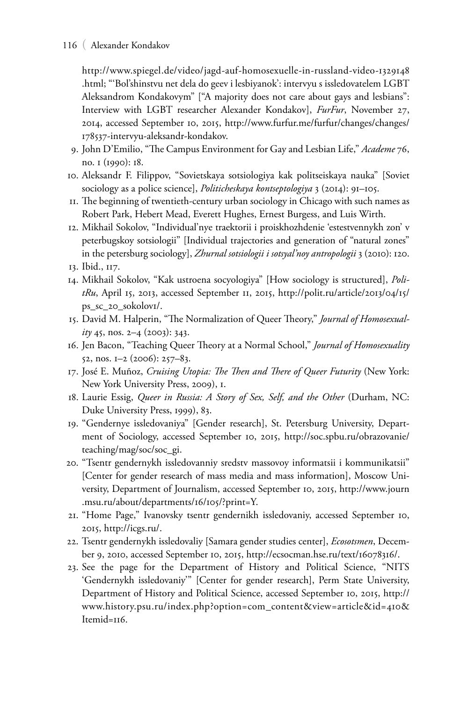#### 116 ( Alexander Kondakov

http://www.spiegel.de/video/jagd-auf-homosexuelle-in-russland-video-1329148 .html; "'Bol'shinstvu net dela do geev i lesbiyanok': intervyu s issledovatelem LGBT Aleksandrom Kondakovym" ["A majority does not care about gays and lesbians": Interview with LGBT researcher Alexander Kondakov], *FurFur*, November 27, 2014, accessed September 10, 2015, http://www.furfur.me/furfur/changes/changes/ 178537-intervyu-aleksandr-kondakov.

- 9. John D'Emilio, "The Campus Environment for Gay and Lesbian Life," *Academe* 76, no. 1 (1990): 18.
- 10. Aleksandr F. Filippov, "Sovietskaya sotsiologiya kak politseiskaya nauka" [Soviet sociology as a police science], *Politicheskaya kontseptologiya* 3 (2014): 91–105.
- 11. The beginning of twentieth-century urban sociology in Chicago with such names as Robert Park, Hebert Mead, Everett Hughes, Ernest Burgess, and Luis Wirth.
- 12. Mikhail Sokolov, "Individual'nye traektorii i proiskhozhdenie 'estestvennykh zon' v peterbugskoy sotsiologii" [Individual trajectories and generation of "natural zones" in the petersburg sociology], *Zhurnal sotsiologii i sotsyal'noy antropologii* 3 (2010): 120. 13. Ibid., 117.
- 14. Mikhail Sokolov, "Kak ustroena socyologiya" [How sociology is structured], *PolitRu*, April 15, 2013, accessed September 11, 2015, http://polit.ru/article/2013/04/15/ ps\_sc\_20\_sokolov1/.
- 15. David M. Halperin, "The Normalization of Queer Theory," *Journal of Homosexuality* 45, nos. 2–4 (2003): 343.
- 16. Jen Bacon, "Teaching Queer Theory at a Normal School," *Journal of Homosexuality* 52, nos. 1–2 (2006): 257–83.
- 17. José E. Muñoz, *Cruising Utopia: The Then and There of Queer Futurity* (New York: New York University Press, 2009), 1.
- 18. Laurie Essig, *Queer in Russia: A Story of Sex, Self, and the Other* (Durham, NC: Duke University Press, 1999), 83.
- 19. "Gendernye issledovaniya" [Gender research], St. Petersburg University, Department of Sociology, accessed September 10, 2015, http://soc.spbu.ru/obrazovanie/ teaching/mag/soc/soc\_gi.
- 20. "Tsentr gendernykh issledovanniy sredstv massovoy informatsii i kommunikatsii" [Center for gender research of mass media and mass information], Moscow University, Department of Journalism, accessed September 10, 2015, http://www.journ .msu.ru/about/departments/16/105/?print=Y.
- 21. "Home Page," Ivanovsky tsentr gendernikh issledovaniy, accessed September 10, 2015, http://icgs.ru/.
- 22. Tsentr gendernykh issledovaliy [Samara gender studies center], *Ecosotsmen*, December 9, 2010, accessed September 10, 2015, http://ecsocman.hse.ru/text/16078316/.
- 23. See the page for the Department of History and Political Science, "NITS 'Gendernykh issledovaniy'" [Center for gender research], Perm State University, Department of History and Political Science, accessed September 10, 2015, http:// www.history.psu.ru/index.php?option=com\_content&view=article&id=410& Itemid=116.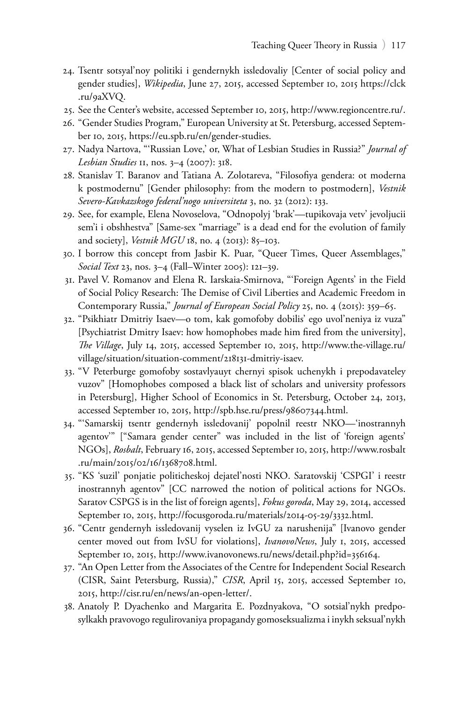- 24. Tsentr sotsyal'noy politiki i gendernykh issledovaliy [Center of social policy and gender studies], *Wikipedia*, June 27, 2015, accessed September 10, 2015 https://clck .ru/9aXVQ.
- 25. See the Center's website, accessed September 10, 2015, http://www.regioncentre.ru/.
- 26. "Gender Studies Program," European University at St. Petersburg, accessed September 10, 2015, https://eu.spb.ru/en/gender-studies.
- 27. Nadya Nartova, "'Russian Love,' or, What of Lesbian Studies in Russia?" *Journal of Lesbian Studies* 11, nos. 3–4 (2007): 318.
- 28. Stanislav T. Baranov and Tatiana A. Zolotareva, "Filosofiya gendera: ot moderna k postmodernu" [Gender philosophy: from the modern to postmodern], *Vestnik Severo-Kavkazskogo federal'nogo universiteta* 3, no. 32 (2012): 133.
- 29. See, for example, Elena Novoselova, "Odnopolyj 'brak'—tupikovaja vetv' jevoljucii sem'i i obshhestva" [Same-sex "marriage" is a dead end for the evolution of family and society], *Vestnik MGU* 18, no. 4 (2013): 85–103.
- 30. I borrow this concept from Jasbir K. Puar, "Queer Times, Queer Assemblages," *Social Text* 23, nos. 3–4 (Fall–Winter 2005): 121–39.
- 31. Pavel V. Romanov and Elena R. Iarskaia-Smirnova, "'Foreign Agents' in the Field of Social Policy Research: The Demise of Civil Liberties and Academic Freedom in Contemporary Russia," *Journal of European Social Policy* 25, no. 4 (2015): 359–65.
- 32. "Psikhiatr Dmitriy Isaev—o tom, kak gomofoby dobilis' ego uvol'neniya iz vuza" [Psychiatrist Dmitry Isaev: how homophobes made him fired from the university], *The Village*, July 14, 2015, accessed September 10, 2015, http://www.the-village.ru/ village/situation/situation-comment/218131-dmitriy-isaev.
- 33. "V Peterburge gomofoby sostavlyauyt chernyi spisok uchenykh i prepodavateley vuzov" [Homophobes composed a black list of scholars and university professors in Petersburg], Higher School of Economics in St. Petersburg, October 24, 2013, accessed September 10, 2015, http://spb.hse.ru/press/98607344.html.
- 34. "'Samarskij tsentr gendernyh issledovanij' popolnil reestr NKO—'inostrannyh agentov'" ["Samara gender center" was included in the list of 'foreign agents' NGOs], *Rosbalt*, February 16, 2015, accessed September 10, 2015, http://www.rosbalt .ru/main/2015/02/16/1368708.html.
- 35. "KS 'suzil' ponjatie politicheskoj dejatel'nosti NKO. Saratovskij 'CSPGI' i reestr inostrannyh agentov" [CC narrowed the notion of political actions for NGOs. Saratov CSPGS is in the list of foreign agents], *Fokus goroda*, May 29, 2014, accessed September 10, 2015, http://focusgoroda.ru/materials/2014-05-29/3332.html.
- 36. "Centr gendernyh issledovanij vyselen iz IvGU za narushenija" [Ivanovo gender center moved out from IvSU for violations], *IvanovoNews*, July 1, 2015, accessed September 10, 2015, http://www.ivanovonews.ru/news/detail.php?id=356164.
- 37. "An Open Letter from the Associates of the Centre for Independent Social Research (CISR, Saint Petersburg, Russia)," *CISR*, April 15, 2015, accessed September 10, 2015, http://cisr.ru/en/news/an-open-letter/.
- 38. Anatoly P. Dyachenko and Margarita E. Pozdnyakova, "O sotsial'nykh predposylkakh pravovogo regulirovaniya propagandy gomoseksualizma i inykh seksual'nykh